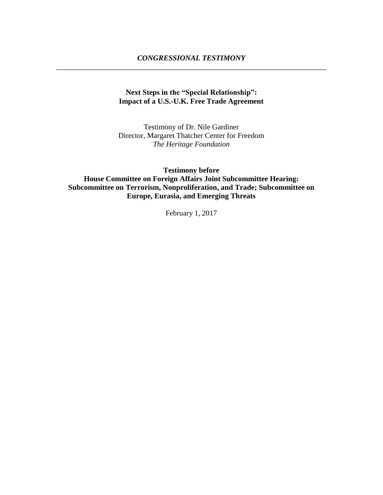## **Next Steps in the "Special Relationship": Impact of a U.S.-U.K. Free Trade Agreement**

Testimony of Dr. Nile Gardiner Director, Margaret Thatcher Center for Freedom *The Heritage Foundation*

**Testimony before House Committee on Foreign Affairs Joint Subcommittee Hearing: Subcommittee on Terrorism, Nonproliferation, and Trade; Subcommittee on Europe, Eurasia, and Emerging Threats**

February 1, 2017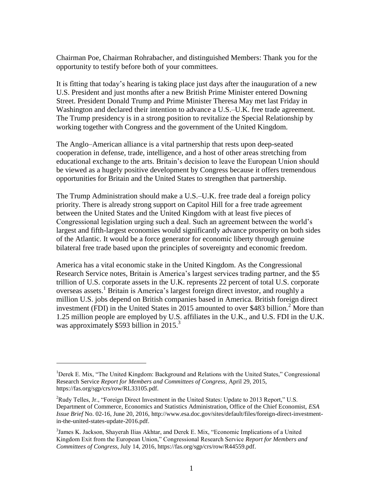Chairman Poe, Chairman Rohrabacher, and distinguished Members: Thank you for the opportunity to testify before both of your committees.

It is fitting that today's hearing is taking place just days after the inauguration of a new U.S. President and just months after a new British Prime Minister entered Downing Street. President Donald Trump and Prime Minister Theresa May met last Friday in Washington and declared their intention to advance a U.S.–U.K. free trade agreement. The Trump presidency is in a strong position to revitalize the Special Relationship by working together with Congress and the government of the United Kingdom.

The Anglo–American alliance is a vital partnership that rests upon deep-seated cooperation in defense, trade, intelligence, and a host of other areas stretching from educational exchange to the arts. Britain's decision to leave the European Union should be viewed as a hugely positive development by Congress because it offers tremendous opportunities for Britain and the United States to strengthen that partnership.

The Trump Administration should make a U.S.–U.K. free trade deal a foreign policy priority. There is already strong support on Capitol Hill for a free trade agreement between the United States and the United Kingdom with at least five pieces of Congressional legislation urging such a deal. Such an agreement between the world's largest and fifth-largest economies would significantly advance prosperity on both sides of the Atlantic. It would be a force generator for economic liberty through genuine bilateral free trade based upon the principles of sovereignty and economic freedom.

America has a vital economic stake in the United Kingdom. As the Congressional Research Service notes, Britain is America's largest services trading partner, and the \$5 trillion of U.S. corporate assets in the U.K. represents 22 percent of total U.S. corporate overseas assets.<sup>1</sup> Britain is America's largest foreign direct investor, and roughly a million U.S. jobs depend on British companies based in America. British foreign direct investment (FDI) in the United States in 2015 amounted to over \$483 billion.<sup>2</sup> More than 1.25 million people are employed by U.S. affiliates in the U.K., and U.S. FDI in the U.K. was approximately \$593 billion in 2015.<sup>3</sup>

 $\overline{a}$ 

<sup>&</sup>lt;sup>1</sup>Derek E. Mix, "The United Kingdom: Background and Relations with the United States," Congressional Research Service *Report for Members and Committees of Congress*, April 29, 2015, https://fas.org/sgp/crs/row/RL33105.pdf.

 ${}^{2}$ Rudy Telles, Jr., "Foreign Direct Investment in the United States: Update to 2013 Report," U.S. Department of Commerce, Economics and Statistics Administration, Office of the Chief Economist, *ESA Issue Brief* No. 02-16, June 20, 2016, http://www.esa.doc.gov/sites/default/files/foreign-direct-investmentin-the-united-states-update-2016.pdf.

<sup>&</sup>lt;sup>3</sup> James K. Jackson, Shayerah Ilias Akhtar, and Derek E. Mix, "Economic Implications of a United Kingdom Exit from the European Union," Congressional Research Service *Report for Members and Committees of Congress*, July 14, 2016, https://fas.org/sgp/crs/row/R44559.pdf.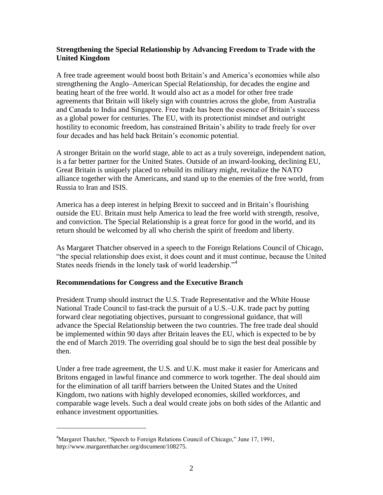## **Strengthening the Special Relationship by Advancing Freedom to Trade with the United Kingdom**

A free trade agreement would boost both Britain's and America's economies while also strengthening the Anglo–American Special Relationship, for decades the engine and beating heart of the free world. It would also act as a model for other free trade agreements that Britain will likely sign with countries across the globe, from Australia and Canada to India and Singapore. Free trade has been the essence of Britain's success as a global power for centuries. The EU, with its protectionist mindset and outright hostility to economic freedom, has constrained Britain's ability to trade freely for over four decades and has held back Britain's economic potential.

A stronger Britain on the world stage, able to act as a truly sovereign, independent nation, is a far better partner for the United States. Outside of an inward-looking, declining EU, Great Britain is uniquely placed to rebuild its military might, revitalize the NATO alliance together with the Americans, and stand up to the enemies of the free world, from Russia to Iran and ISIS.

America has a deep interest in helping Brexit to succeed and in Britain's flourishing outside the EU. Britain must help America to lead the free world with strength, resolve, and conviction. The Special Relationship is a great force for good in the world, and its return should be welcomed by all who cherish the spirit of freedom and liberty.

As Margaret Thatcher observed in a speech to the Foreign Relations Council of Chicago, "the special relationship does exist, it does count and it must continue, because the United States needs friends in the lonely task of world leadership."<sup>4</sup>

## **Recommendations for Congress and the Executive Branch**

President Trump should instruct the U.S. Trade Representative and the White House National Trade Council to fast-track the pursuit of a U.S.–U.K. trade pact by putting forward clear negotiating objectives, pursuant to congressional guidance, that will advance the Special Relationship between the two countries. The free trade deal should be implemented within 90 days after Britain leaves the EU, which is expected to be by the end of March 2019. The overriding goal should be to sign the best deal possible by then.

Under a free trade agreement, the U.S. and U.K. must make it easier for Americans and Britons engaged in lawful finance and commerce to work together. The deal should aim for the elimination of all tariff barriers between the United States and the United Kingdom, two nations with highly developed economies, skilled workforces, and comparable wage levels. Such a deal would create jobs on both sides of the Atlantic and enhance investment opportunities.

 $\overline{a}$ 

<sup>&</sup>lt;sup>4</sup>Margaret Thatcher, "Speech to Foreign Relations Council of Chicago," June 17, 1991, http://www.margaretthatcher.org/document/108275.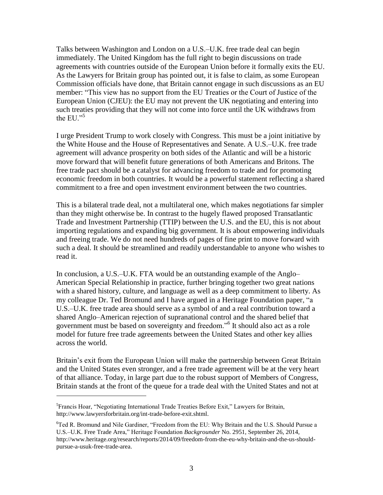Talks between Washington and London on a U.S.–U.K. free trade deal can begin immediately. The United Kingdom has the full right to begin discussions on trade agreements with countries outside of the European Union before it formally exits the EU. As the Lawyers for Britain group has pointed out, it is false to claim, as some European Commission officials have done, that Britain cannot engage in such discussions as an EU member: "This view has no support from the EU Treaties or the Court of Justice of the European Union (CJEU): the EU may not prevent the UK negotiating and entering into such treaties providing that they will not come into force until the UK withdraws from the EU. $^{5}$ 

I urge President Trump to work closely with Congress. This must be a joint initiative by the White House and the House of Representatives and Senate. A U.S.–U.K. free trade agreement will advance prosperity on both sides of the Atlantic and will be a historic move forward that will benefit future generations of both Americans and Britons. The free trade pact should be a catalyst for advancing freedom to trade and for promoting economic freedom in both countries. It would be a powerful statement reflecting a shared commitment to a free and open investment environment between the two countries.

This is a bilateral trade deal, not a multilateral one, which makes negotiations far simpler than they might otherwise be. In contrast to the hugely flawed proposed Transatlantic Trade and Investment Partnership (TTIP) between the U.S. and the EU, this is not about importing regulations and expanding big government. It is about empowering individuals and freeing trade. We do not need hundreds of pages of fine print to move forward with such a deal. It should be streamlined and readily understandable to anyone who wishes to read it.

In conclusion, a U.S.–U.K. FTA would be an outstanding example of the Anglo– American Special Relationship in practice, further bringing together two great nations with a shared history, culture, and language as well as a deep commitment to liberty. As my colleague Dr. Ted Bromund and I have argued in a Heritage Foundation paper, "a U.S.–U.K. free trade area should serve as a symbol of and a real contribution toward a shared Anglo–American rejection of supranational control and the shared belief that government must be based on sovereignty and freedom."<sup>6</sup> It should also act as a role model for future free trade agreements between the United States and other key allies across the world.

Britain's exit from the European Union will make the partnership between Great Britain and the United States even stronger, and a free trade agreement will be at the very heart of that alliance. Today, in large part due to the robust support of Members of Congress, Britain stands at the front of the queue for a trade deal with the United States and not at

 $\overline{a}$ 

<sup>&</sup>lt;sup>5</sup> Francis Hoar, "Negotiating International Trade Treaties Before Exit," Lawyers for Britain, http://www.lawyersforbritain.org/int-trade-before-exit.shtml.

 $6T$ ed R. Bromund and Nile Gardiner, "Freedom from the EU: Why Britain and the U.S. Should Pursue a U.S.–U.K. Free Trade Area," Heritage Foundation *Backgrounder* No. 2951, September 26, 2014, http://www.heritage.org/research/reports/2014/09/freedom-from-the-eu-why-britain-and-the-us-shouldpursue-a-usuk-free-trade-area.